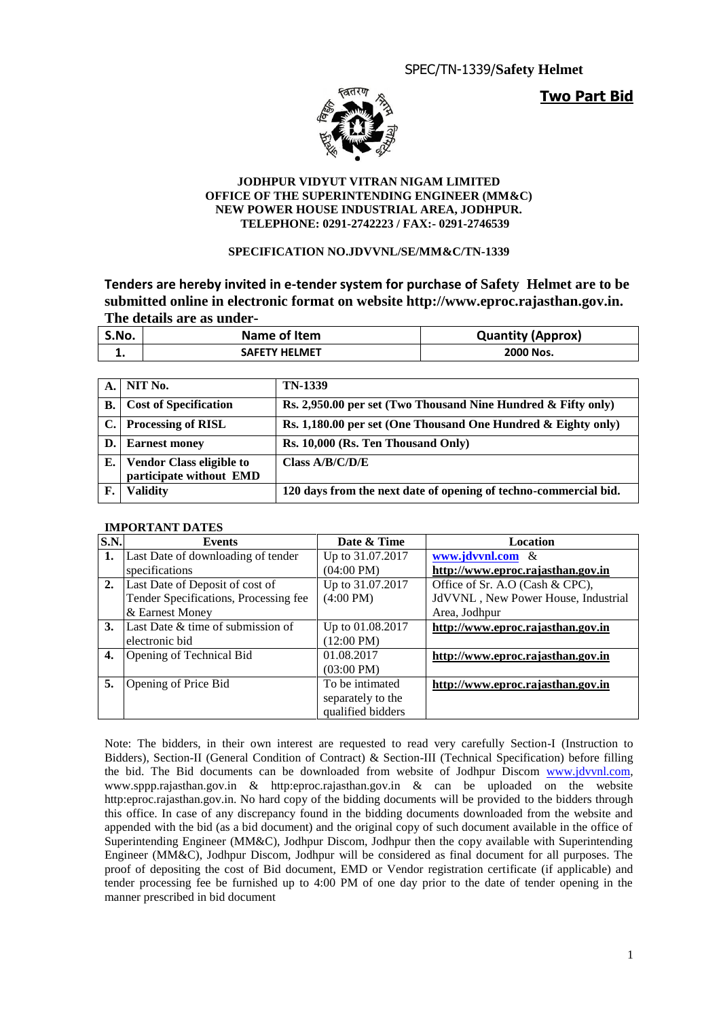**Two Part Bid**



#### **JODHPUR VIDYUT VITRAN NIGAM LIMITED OFFICE OF THE SUPERINTENDING ENGINEER (MM&C) NEW POWER HOUSE INDUSTRIAL AREA, JODHPUR. TELEPHONE: 0291-2742223 / FAX:- 0291-2746539**

#### **SPECIFICATION NO.JDVVNL/SE/MM&C/TN-1339**

**Tenders are hereby invited in e-tender system for purchase of Safety Helmet are to be submitted online in electronic format on website http://www.eproc.rajasthan.gov.in. The details are as under-**

| S.No. | Name of Item         | <b>Quantity (Approx)</b> |
|-------|----------------------|--------------------------|
|       | <b>SAFETY HELMET</b> | 2000 Nos.                |

| $A_{\cdot}$ | NIT No.                                                    | <b>TN-1339</b>                                                   |
|-------------|------------------------------------------------------------|------------------------------------------------------------------|
| В.          | <b>Cost of Specification</b>                               | Rs. 2,950.00 per set (Two Thousand Nine Hundred $\&$ Fifty only) |
| C.1         | <b>Processing of RISL</b>                                  | Rs. 1,180.00 per set (One Thousand One Hundred & Eighty only)    |
| D.1         | <b>Earnest money</b>                                       | Rs. 10,000 (Rs. Ten Thousand Only)                               |
| Е.          | <b>Vendor Class eligible to</b><br>participate without EMD | Class $A/B/C/D/E$                                                |
| F.          | <b>Validity</b>                                            | 120 days from the next date of opening of techno-commercial bid. |

#### **IMPORTANT DATES**

| S.N. | Events                                | Date & Time          | Location                            |
|------|---------------------------------------|----------------------|-------------------------------------|
| 1.   | Last Date of downloading of tender    | Up to 31.07.2017     | www.jdvvnl.com $\&$                 |
|      | specifications                        | $(04:00 \text{ PM})$ | http://www.eproc.rajasthan.gov.in   |
| 2.   | Last Date of Deposit of cost of       | Up to 31.07.2017     | Office of Sr. A.O (Cash & CPC),     |
|      | Tender Specifications, Processing fee | $(4:00 \text{ PM})$  | JdVVNL, New Power House, Industrial |
|      | & Earnest Money                       |                      | Area, Jodhpur                       |
| 3.   | Last Date & time of submission of     | Up to 01.08.2017     | http://www.eproc.rajasthan.gov.in   |
|      | electronic bid                        | $(12:00 \text{ PM})$ |                                     |
| 4.   | Opening of Technical Bid              | 01.08.2017           | http://www.eproc.rajasthan.gov.in   |
|      |                                       | $(03:00 \text{ PM})$ |                                     |
| 5.   | Opening of Price Bid                  | To be intimated      | http://www.eproc.rajasthan.gov.in   |
|      |                                       | separately to the    |                                     |
|      |                                       | qualified bidders    |                                     |

Note: The bidders, in their own interest are requested to read very carefully Section-I (Instruction to Bidders), Section-II (General Condition of Contract) & Section-III (Technical Specification) before filling the bid. The Bid documents can be downloaded from website of Jodhpur Discom [www.jdvvnl.com,](http://www.jdvvnl.com/) www.sppp.rajasthan.gov.in & http:eproc.rajasthan.gov.in & can be uploaded on the website http:eproc.rajasthan.gov.in. No hard copy of the bidding documents will be provided to the bidders through this office. In case of any discrepancy found in the bidding documents downloaded from the website and appended with the bid (as a bid document) and the original copy of such document available in the office of Superintending Engineer (MM&C), Jodhpur Discom, Jodhpur then the copy available with Superintending Engineer (MM&C), Jodhpur Discom, Jodhpur will be considered as final document for all purposes. The proof of depositing the cost of Bid document, EMD or Vendor registration certificate (if applicable) and tender processing fee be furnished up to 4:00 PM of one day prior to the date of tender opening in the manner prescribed in bid document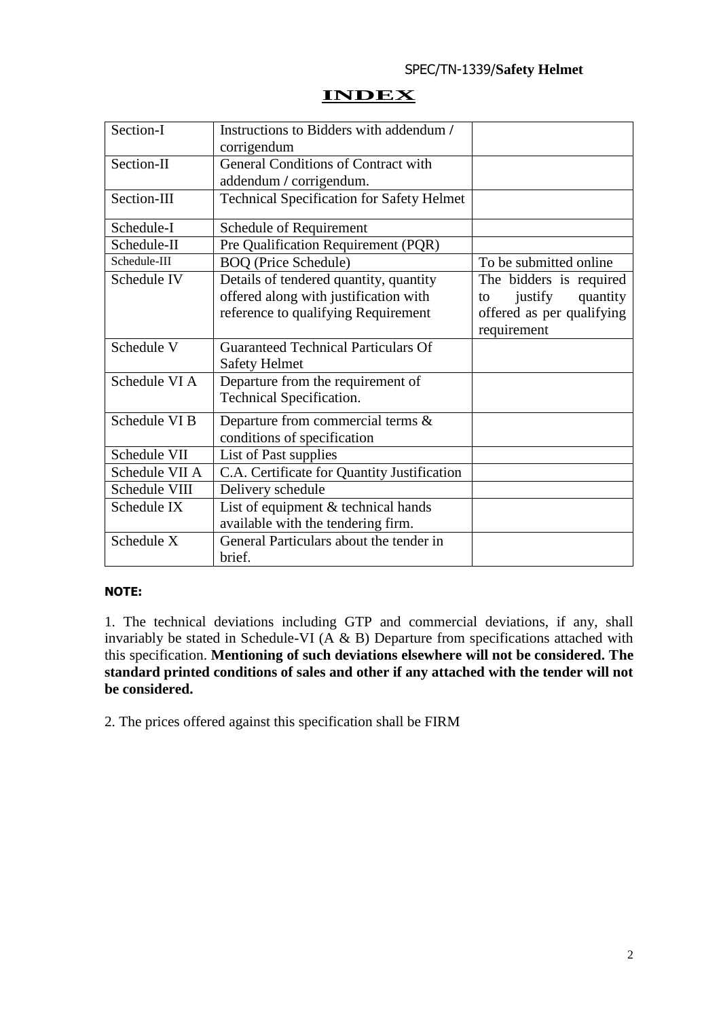## **INDEX**

| Section-I      | Instructions to Bidders with addendum /          |                           |
|----------------|--------------------------------------------------|---------------------------|
|                | corrigendum                                      |                           |
| Section-II     | <b>General Conditions of Contract with</b>       |                           |
|                | addendum / corrigendum.                          |                           |
| Section-III    | <b>Technical Specification for Safety Helmet</b> |                           |
| Schedule-I     | Schedule of Requirement                          |                           |
| Schedule-II    | Pre Qualification Requirement (PQR)              |                           |
| Schedule-III   | <b>BOQ</b> (Price Schedule)                      | To be submitted online    |
| Schedule IV    | Details of tendered quantity, quantity           | The bidders is required   |
|                | offered along with justification with            | justify<br>quantity<br>to |
|                | reference to qualifying Requirement              | offered as per qualifying |
|                |                                                  | requirement               |
| Schedule V     | <b>Guaranteed Technical Particulars Of</b>       |                           |
|                | <b>Safety Helmet</b>                             |                           |
| Schedule VI A  | Departure from the requirement of                |                           |
|                | Technical Specification.                         |                           |
| Schedule VI B  | Departure from commercial terms &                |                           |
|                | conditions of specification                      |                           |
| Schedule VII   | List of Past supplies                            |                           |
| Schedule VII A | C.A. Certificate for Quantity Justification      |                           |
| Schedule VIII  | Delivery schedule                                |                           |
| Schedule IX    | List of equipment $&$ technical hands            |                           |
|                | available with the tendering firm.               |                           |
| Schedule X     | General Particulars about the tender in          |                           |
|                | brief.                                           |                           |

#### **NOTE:**

1. The technical deviations including GTP and commercial deviations, if any, shall invariably be stated in Schedule-VI ( $\overrightarrow{A}$  & B) Departure from specifications attached with this specification. **Mentioning of such deviations elsewhere will not be considered. The standard printed conditions of sales and other if any attached with the tender will not be considered.**

2. The prices offered against this specification shall be FIRM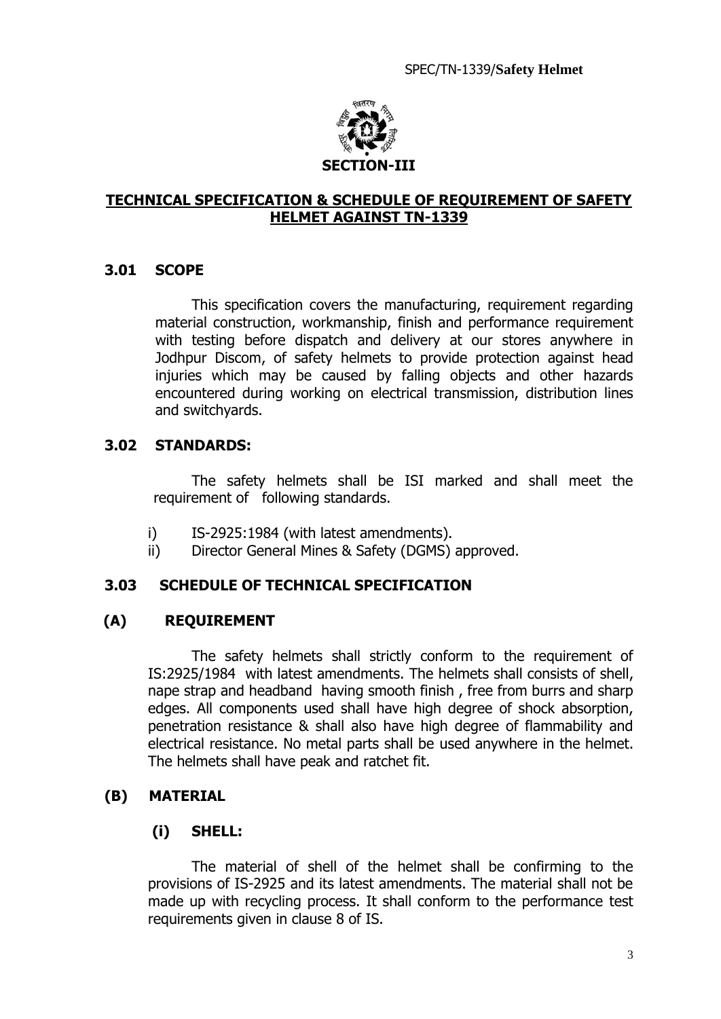

## **TECHNICAL SPECIFICATION & SCHEDULE OF REQUIREMENT OF SAFETY HELMET AGAINST TN-1339**

## **3.01 SCOPE**

This specification covers the manufacturing, requirement regarding material construction, workmanship, finish and performance requirement with testing before dispatch and delivery at our stores anywhere in Jodhpur Discom, of safety helmets to provide protection against head injuries which may be caused by falling objects and other hazards encountered during working on electrical transmission, distribution lines and switchyards.

## **3.02 STANDARDS:**

The safety helmets shall be ISI marked and shall meet the requirement of following standards.

- i) IS-2925:1984 (with latest amendments).
- ii) Director General Mines & Safety (DGMS) approved.

## **3.03 SCHEDULE OF TECHNICAL SPECIFICATION**

## **(A) REQUIREMENT**

The safety helmets shall strictly conform to the requirement of IS:2925/1984 with latest amendments. The helmets shall consists of shell, nape strap and headband having smooth finish , free from burrs and sharp edges. All components used shall have high degree of shock absorption, penetration resistance & shall also have high degree of flammability and electrical resistance. No metal parts shall be used anywhere in the helmet. The helmets shall have peak and ratchet fit.

## **(B) MATERIAL**

## **(i) SHELL:**

The material of shell of the helmet shall be confirming to the provisions of IS-2925 and its latest amendments. The material shall not be made up with recycling process. It shall conform to the performance test requirements given in clause 8 of IS.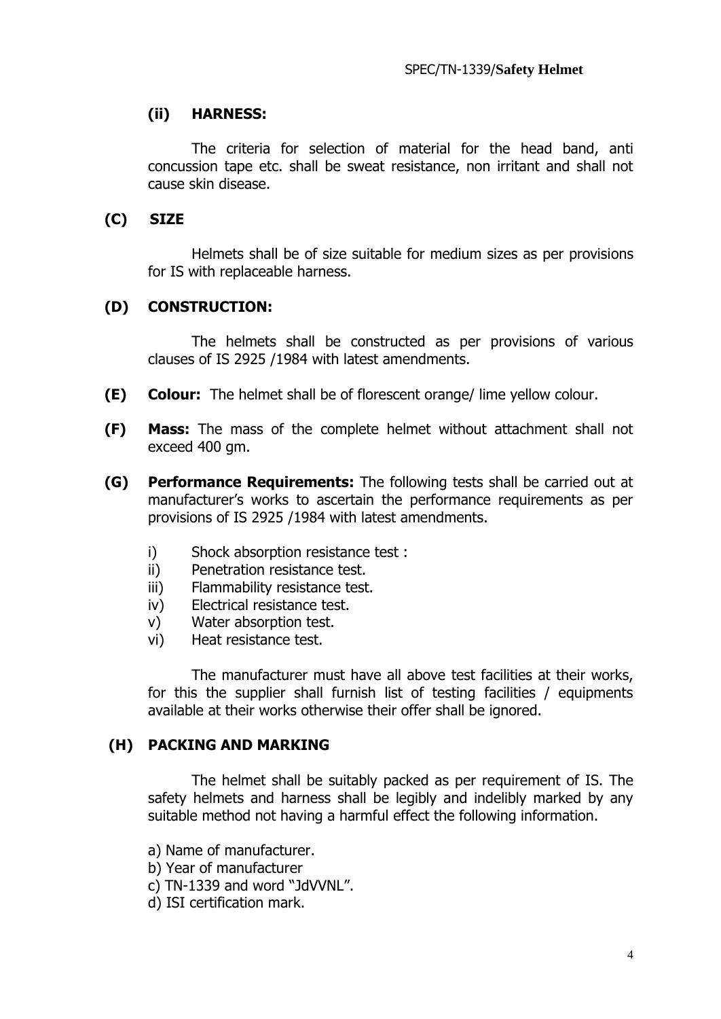## **(ii) HARNESS:**

The criteria for selection of material for the head band, anti concussion tape etc. shall be sweat resistance, non irritant and shall not cause skin disease.

## **(C) SIZE**

Helmets shall be of size suitable for medium sizes as per provisions for IS with replaceable harness.

## **(D) CONSTRUCTION:**

The helmets shall be constructed as per provisions of various clauses of IS 2925 /1984 with latest amendments.

- **(E) Colour:** The helmet shall be of florescent orange/ lime yellow colour.
- **(F) Mass:** The mass of the complete helmet without attachment shall not exceed 400 gm.
- **(G) Performance Requirements:** The following tests shall be carried out at manufacturer's works to ascertain the performance requirements as per provisions of IS 2925 /1984 with latest amendments.
	- i) Shock absorption resistance test :
	- ii) Penetration resistance test.
	- iii) Flammability resistance test.
	- iv) Electrical resistance test.
	- v) Water absorption test.
	- vi) Heat resistance test.

The manufacturer must have all above test facilities at their works, for this the supplier shall furnish list of testing facilities / equipments available at their works otherwise their offer shall be ignored.

## **(H) PACKING AND MARKING**

The helmet shall be suitably packed as per requirement of IS. The safety helmets and harness shall be legibly and indelibly marked by any suitable method not having a harmful effect the following information.

- a) Name of manufacturer.
- b) Year of manufacturer

c) TN-1339 and word "JdVVNL".

d) ISI certification mark.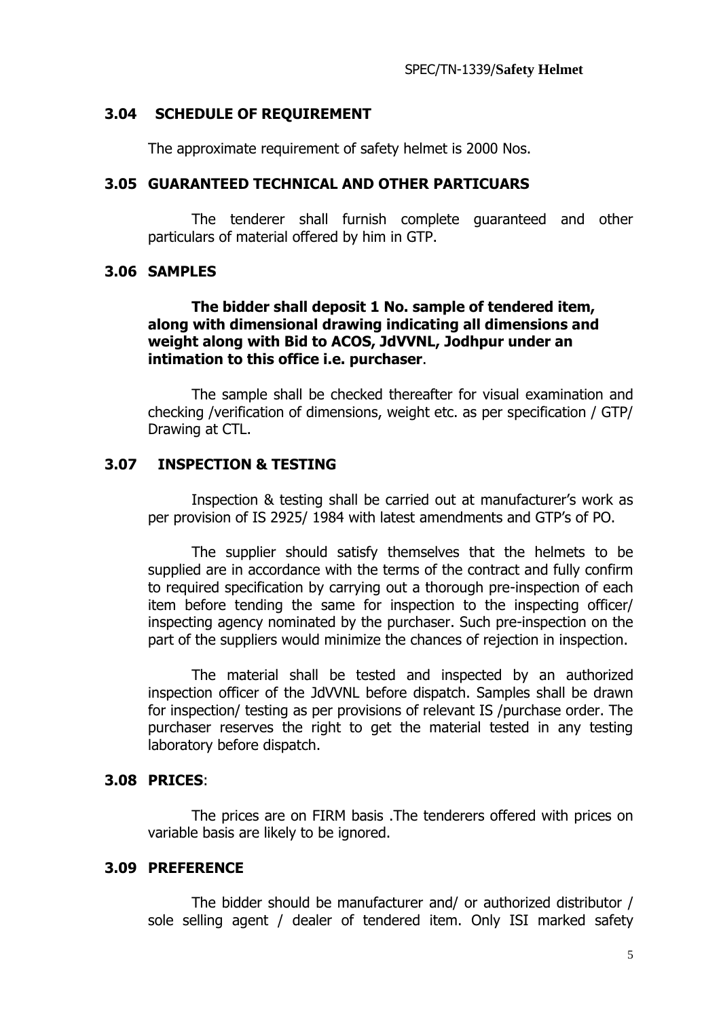## **3.04 SCHEDULE OF REQUIREMENT**

The approximate requirement of safety helmet is 2000 Nos.

## **3.05 GUARANTEED TECHNICAL AND OTHER PARTICUARS**

The tenderer shall furnish complete guaranteed and other particulars of material offered by him in GTP.

## **3.06 SAMPLES**

## **The bidder shall deposit 1 No. sample of tendered item, along with dimensional drawing indicating all dimensions and weight along with Bid to ACOS, JdVVNL, Jodhpur under an intimation to this office i.e. purchaser**.

The sample shall be checked thereafter for visual examination and checking /verification of dimensions, weight etc. as per specification / GTP/ Drawing at CTL.

## **3.07 INSPECTION & TESTING**

Inspection & testing shall be carried out at manufacturer's work as per provision of IS 2925/ 1984 with latest amendments and GTP's of PO.

The supplier should satisfy themselves that the helmets to be supplied are in accordance with the terms of the contract and fully confirm to required specification by carrying out a thorough pre-inspection of each item before tending the same for inspection to the inspecting officer/ inspecting agency nominated by the purchaser. Such pre-inspection on the part of the suppliers would minimize the chances of rejection in inspection.

The material shall be tested and inspected by an authorized inspection officer of the JdVVNL before dispatch. Samples shall be drawn for inspection/ testing as per provisions of relevant IS /purchase order. The purchaser reserves the right to get the material tested in any testing laboratory before dispatch.

#### **3.08 PRICES**:

The prices are on FIRM basis .The tenderers offered with prices on variable basis are likely to be ignored.

## **3.09 PREFERENCE**

The bidder should be manufacturer and/ or authorized distributor / sole selling agent / dealer of tendered item. Only ISI marked safety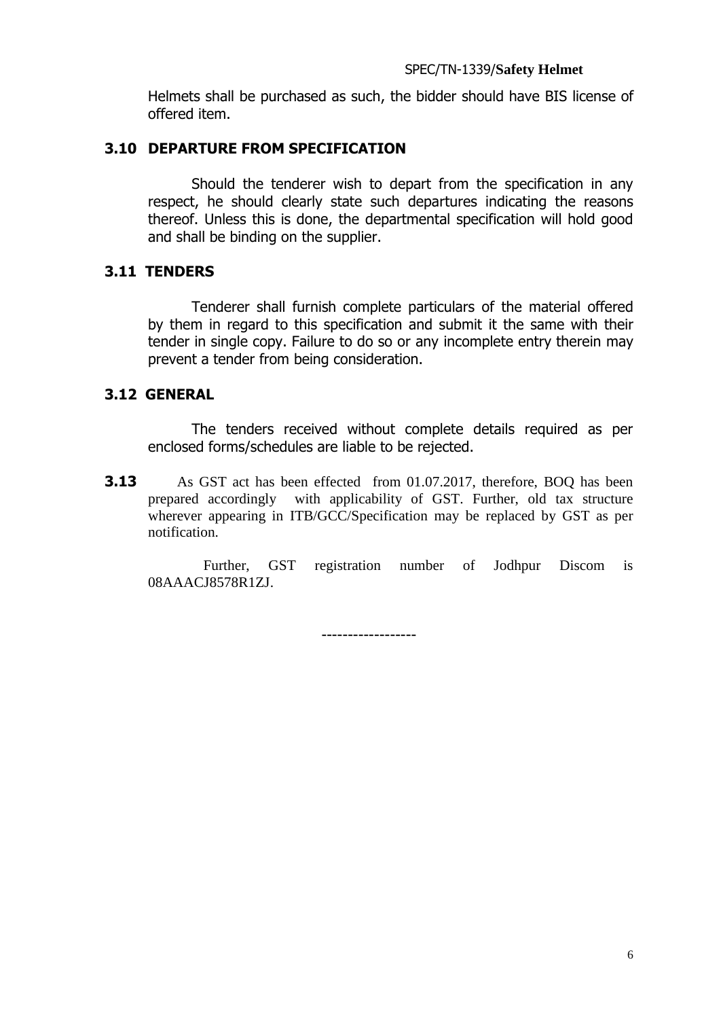Helmets shall be purchased as such, the bidder should have BIS license of offered item.

## **3.10 DEPARTURE FROM SPECIFICATION**

Should the tenderer wish to depart from the specification in any respect, he should clearly state such departures indicating the reasons thereof. Unless this is done, the departmental specification will hold good and shall be binding on the supplier.

## **3.11 TENDERS**

Tenderer shall furnish complete particulars of the material offered by them in regard to this specification and submit it the same with their tender in single copy. Failure to do so or any incomplete entry therein may prevent a tender from being consideration.

## **3.12 GENERAL**

The tenders received without complete details required as per enclosed forms/schedules are liable to be rejected.

**3.13** As GST act has been effected from 01.07.2017, therefore, BOQ has been prepared accordingly with applicability of GST. Further, old tax structure wherever appearing in ITB/GCC/Specification may be replaced by GST as per notification.

 Further, GST registration number of Jodhpur Discom is 08AAACJ8578R1ZJ.

------------------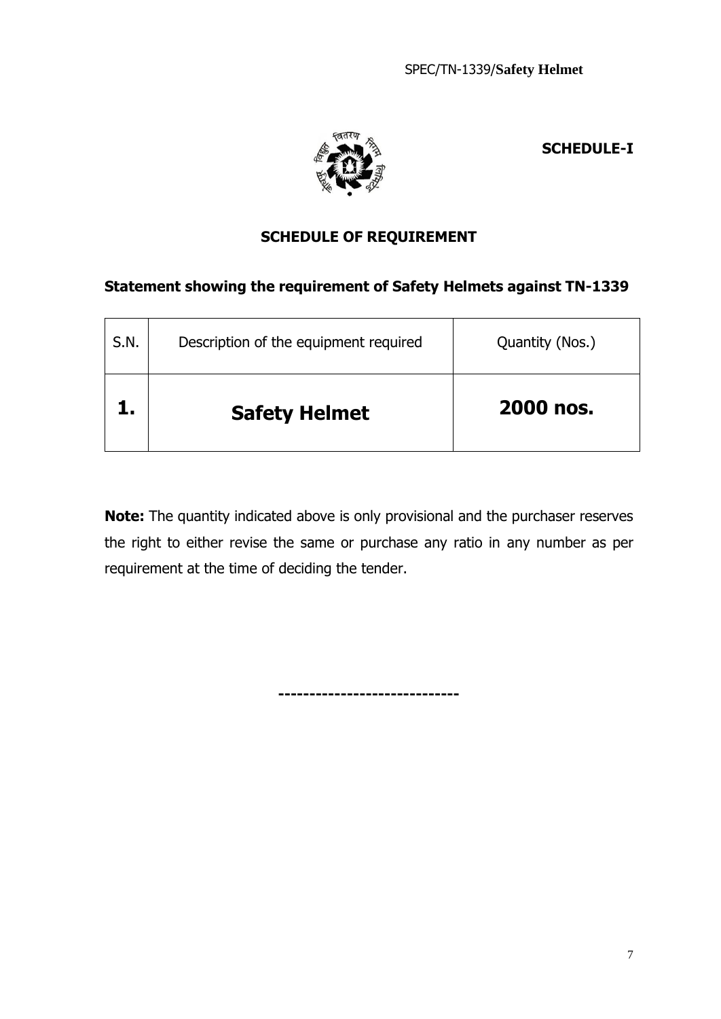



# **SCHEDULE OF REQUIREMENT**

## **Statement showing the requirement of Safety Helmets against TN-1339**

| S.N. | Description of the equipment required | Quantity (Nos.) |
|------|---------------------------------------|-----------------|
|      | <b>Safety Helmet</b>                  | 2000 nos.       |

**Note:** The quantity indicated above is only provisional and the purchaser reserves the right to either revise the same or purchase any ratio in any number as per requirement at the time of deciding the tender.

**-----------------------------**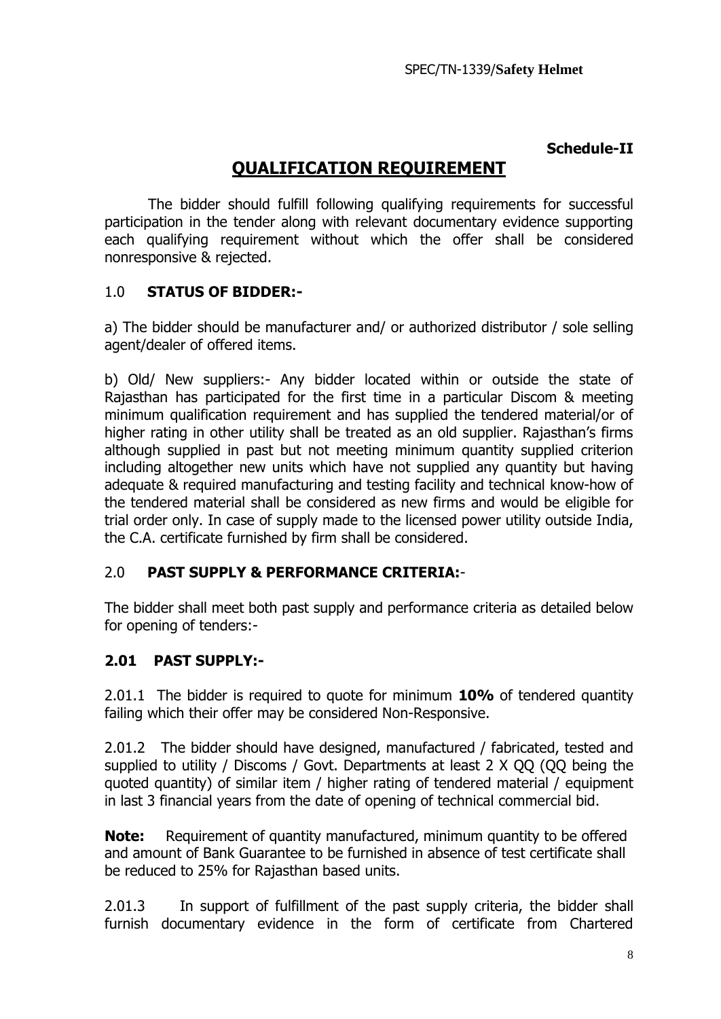## **Schedule-II**

# **QUALIFICATION REQUIREMENT**

The bidder should fulfill following qualifying requirements for successful participation in the tender along with relevant documentary evidence supporting each qualifying requirement without which the offer shall be considered nonresponsive & rejected.

## 1.0 **STATUS OF BIDDER:-**

a) The bidder should be manufacturer and/ or authorized distributor / sole selling agent/dealer of offered items.

b) Old/ New suppliers:- Any bidder located within or outside the state of Rajasthan has participated for the first time in a particular Discom & meeting minimum qualification requirement and has supplied the tendered material/or of higher rating in other utility shall be treated as an old supplier. Rajasthan's firms although supplied in past but not meeting minimum quantity supplied criterion including altogether new units which have not supplied any quantity but having adequate & required manufacturing and testing facility and technical know-how of the tendered material shall be considered as new firms and would be eligible for trial order only. In case of supply made to the licensed power utility outside India, the C.A. certificate furnished by firm shall be considered.

## 2.0 **PAST SUPPLY & PERFORMANCE CRITERIA:**-

The bidder shall meet both past supply and performance criteria as detailed below for opening of tenders:-

## **2.01 PAST SUPPLY:-**

2.01.1 The bidder is required to quote for minimum **10%** of tendered quantity failing which their offer may be considered Non-Responsive.

2.01.2 The bidder should have designed, manufactured / fabricated, tested and supplied to utility / Discoms / Govt. Departments at least 2 X QQ (QQ being the quoted quantity) of similar item / higher rating of tendered material / equipment in last 3 financial years from the date of opening of technical commercial bid.

**Note:** Requirement of quantity manufactured, minimum quantity to be offered and amount of Bank Guarantee to be furnished in absence of test certificate shall be reduced to 25% for Rajasthan based units.

2.01.3 In support of fulfillment of the past supply criteria, the bidder shall furnish documentary evidence in the form of certificate from Chartered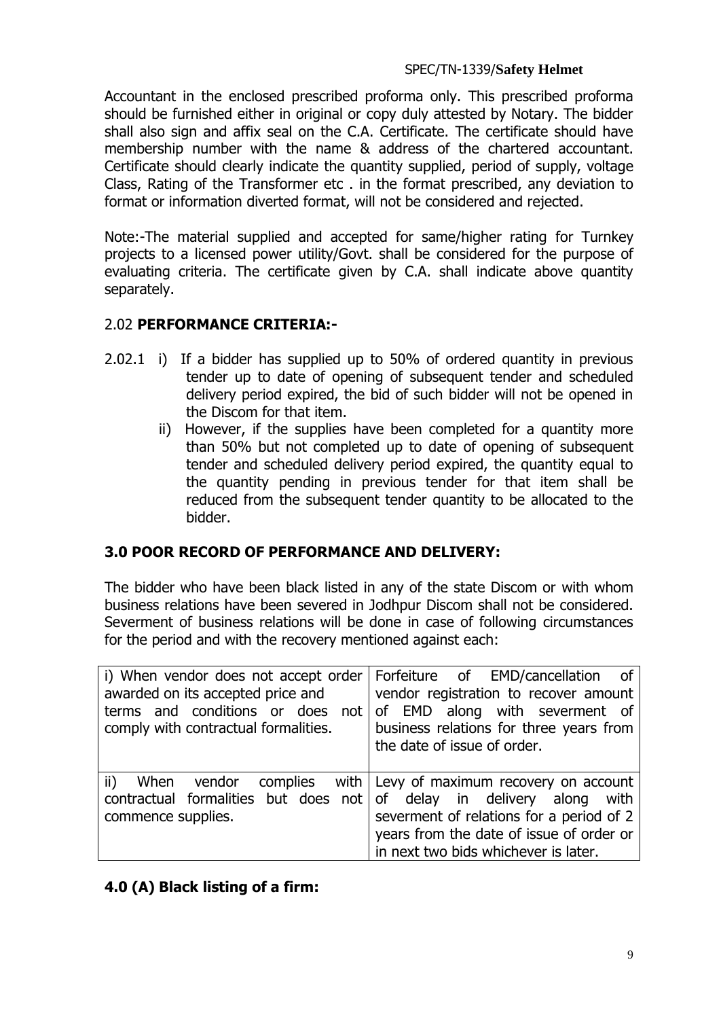Accountant in the enclosed prescribed proforma only. This prescribed proforma should be furnished either in original or copy duly attested by Notary. The bidder shall also sign and affix seal on the C.A. Certificate. The certificate should have membership number with the name & address of the chartered accountant. Certificate should clearly indicate the quantity supplied, period of supply, voltage Class, Rating of the Transformer etc . in the format prescribed, any deviation to format or information diverted format, will not be considered and rejected.

Note:-The material supplied and accepted for same/higher rating for Turnkey projects to a licensed power utility/Govt. shall be considered for the purpose of evaluating criteria. The certificate given by C.A. shall indicate above quantity separately.

## 2.02 **PERFORMANCE CRITERIA:-**

- 2.02.1 i) If a bidder has supplied up to 50% of ordered quantity in previous tender up to date of opening of subsequent tender and scheduled delivery period expired, the bid of such bidder will not be opened in the Discom for that item.
	- ii) However, if the supplies have been completed for a quantity more than 50% but not completed up to date of opening of subsequent tender and scheduled delivery period expired, the quantity equal to the quantity pending in previous tender for that item shall be reduced from the subsequent tender quantity to be allocated to the bidder.

## **3.0 POOR RECORD OF PERFORMANCE AND DELIVERY:**

The bidder who have been black listed in any of the state Discom or with whom business relations have been severed in Jodhpur Discom shall not be considered. Severment of business relations will be done in case of following circumstances for the period and with the recovery mentioned against each:

| awarded on its accepted price and<br>terms and conditions or does not of EMD along with severment of<br>comply with contractual formalities. | i) When vendor does not accept order   Forfeiture of EMD/cancellation of<br>vendor registration to recover amount<br>business relations for three years from<br>the date of issue of order. |
|----------------------------------------------------------------------------------------------------------------------------------------------|---------------------------------------------------------------------------------------------------------------------------------------------------------------------------------------------|
| $\overline{v}$ ii) When vendor complies with Levy of maximum recovery on account                                                             | severment of relations for a period of 2                                                                                                                                                    |
| contractual formalities but does not of delay in delivery along with                                                                         | years from the date of issue of order or                                                                                                                                                    |
| commence supplies.                                                                                                                           | in next two bids whichever is later.                                                                                                                                                        |

## **4.0 (A) Black listing of a firm:**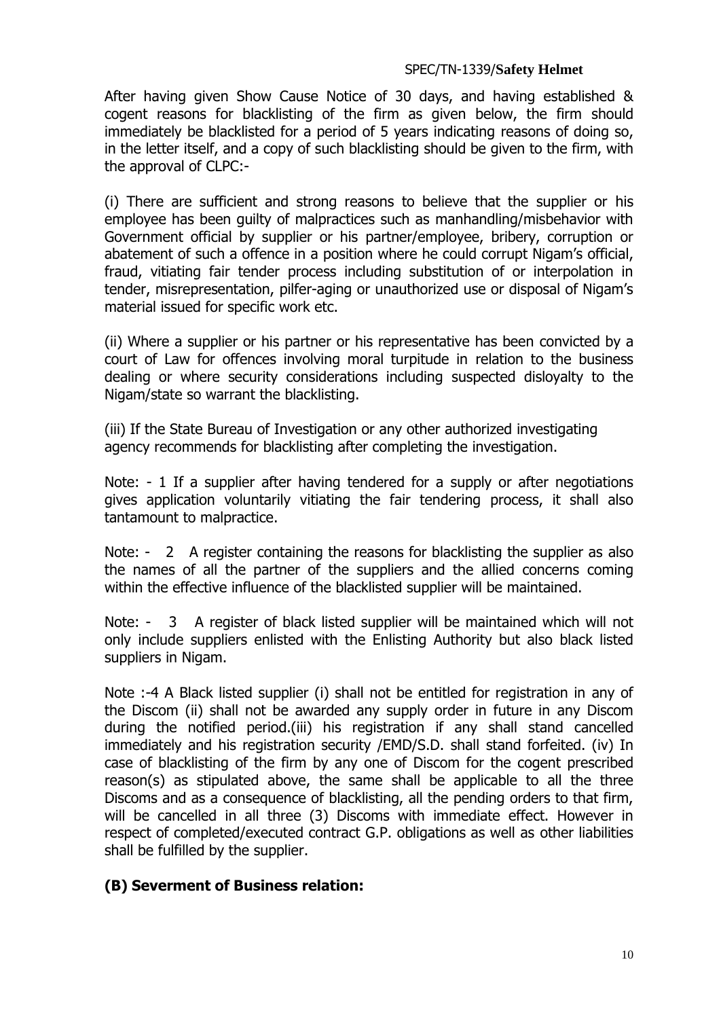After having given Show Cause Notice of 30 days, and having established & cogent reasons for blacklisting of the firm as given below, the firm should immediately be blacklisted for a period of 5 years indicating reasons of doing so, in the letter itself, and a copy of such blacklisting should be given to the firm, with the approval of CLPC:-

(i) There are sufficient and strong reasons to believe that the supplier or his employee has been guilty of malpractices such as manhandling/misbehavior with Government official by supplier or his partner/employee, bribery, corruption or abatement of such a offence in a position where he could corrupt Nigam's official, fraud, vitiating fair tender process including substitution of or interpolation in tender, misrepresentation, pilfer-aging or unauthorized use or disposal of Nigam's material issued for specific work etc.

(ii) Where a supplier or his partner or his representative has been convicted by a court of Law for offences involving moral turpitude in relation to the business dealing or where security considerations including suspected disloyalty to the Nigam/state so warrant the blacklisting.

(iii) If the State Bureau of Investigation or any other authorized investigating agency recommends for blacklisting after completing the investigation.

Note: - 1 If a supplier after having tendered for a supply or after negotiations gives application voluntarily vitiating the fair tendering process, it shall also tantamount to malpractice.

Note: - 2 A register containing the reasons for blacklisting the supplier as also the names of all the partner of the suppliers and the allied concerns coming within the effective influence of the blacklisted supplier will be maintained.

Note: - 3 A register of black listed supplier will be maintained which will not only include suppliers enlisted with the Enlisting Authority but also black listed suppliers in Nigam.

Note :-4 A Black listed supplier (i) shall not be entitled for registration in any of the Discom (ii) shall not be awarded any supply order in future in any Discom during the notified period.(iii) his registration if any shall stand cancelled immediately and his registration security /EMD/S.D. shall stand forfeited. (iv) In case of blacklisting of the firm by any one of Discom for the cogent prescribed reason(s) as stipulated above, the same shall be applicable to all the three Discoms and as a consequence of blacklisting, all the pending orders to that firm, will be cancelled in all three (3) Discoms with immediate effect. However in respect of completed/executed contract G.P. obligations as well as other liabilities shall be fulfilled by the supplier.

## **(B) Severment of Business relation:**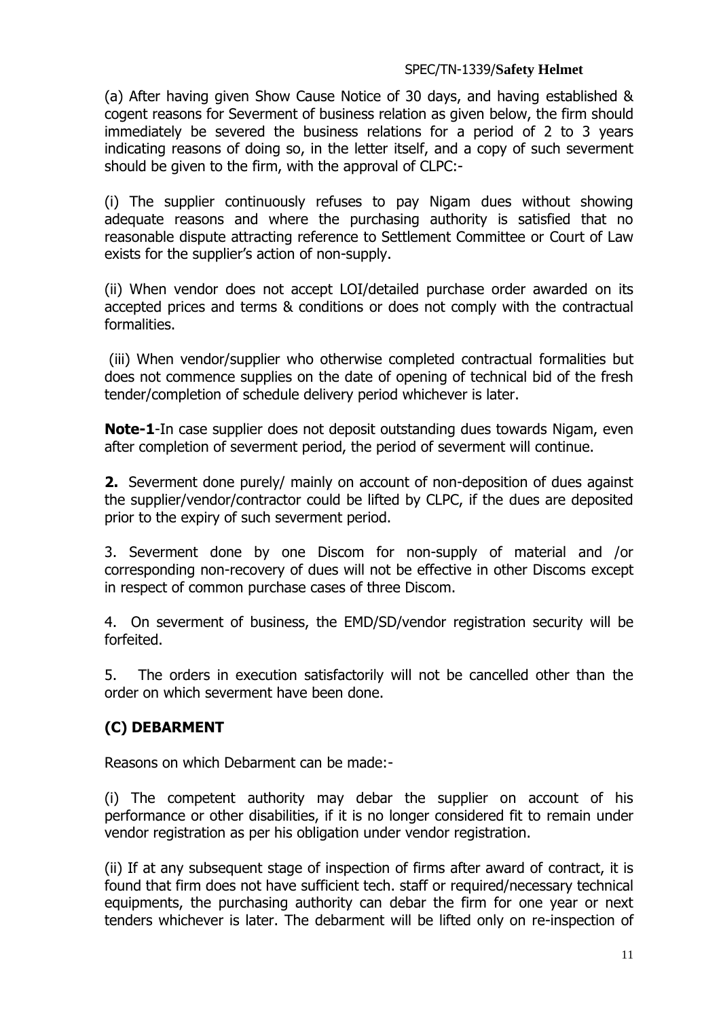(a) After having given Show Cause Notice of 30 days, and having established & cogent reasons for Severment of business relation as given below, the firm should immediately be severed the business relations for a period of 2 to 3 years indicating reasons of doing so, in the letter itself, and a copy of such severment should be given to the firm, with the approval of CLPC:-

(i) The supplier continuously refuses to pay Nigam dues without showing adequate reasons and where the purchasing authority is satisfied that no reasonable dispute attracting reference to Settlement Committee or Court of Law exists for the supplier's action of non-supply.

(ii) When vendor does not accept LOI/detailed purchase order awarded on its accepted prices and terms & conditions or does not comply with the contractual formalities.

(iii) When vendor/supplier who otherwise completed contractual formalities but does not commence supplies on the date of opening of technical bid of the fresh tender/completion of schedule delivery period whichever is later.

**Note-1**-In case supplier does not deposit outstanding dues towards Nigam, even after completion of severment period, the period of severment will continue.

**2.** Severment done purely/ mainly on account of non-deposition of dues against the supplier/vendor/contractor could be lifted by CLPC, if the dues are deposited prior to the expiry of such severment period.

3. Severment done by one Discom for non-supply of material and /or corresponding non-recovery of dues will not be effective in other Discoms except in respect of common purchase cases of three Discom.

4. On severment of business, the EMD/SD/vendor registration security will be forfeited.

5. The orders in execution satisfactorily will not be cancelled other than the order on which severment have been done.

# **(C) DEBARMENT**

Reasons on which Debarment can be made:-

(i) The competent authority may debar the supplier on account of his performance or other disabilities, if it is no longer considered fit to remain under vendor registration as per his obligation under vendor registration.

(ii) If at any subsequent stage of inspection of firms after award of contract, it is found that firm does not have sufficient tech. staff or required/necessary technical equipments, the purchasing authority can debar the firm for one year or next tenders whichever is later. The debarment will be lifted only on re-inspection of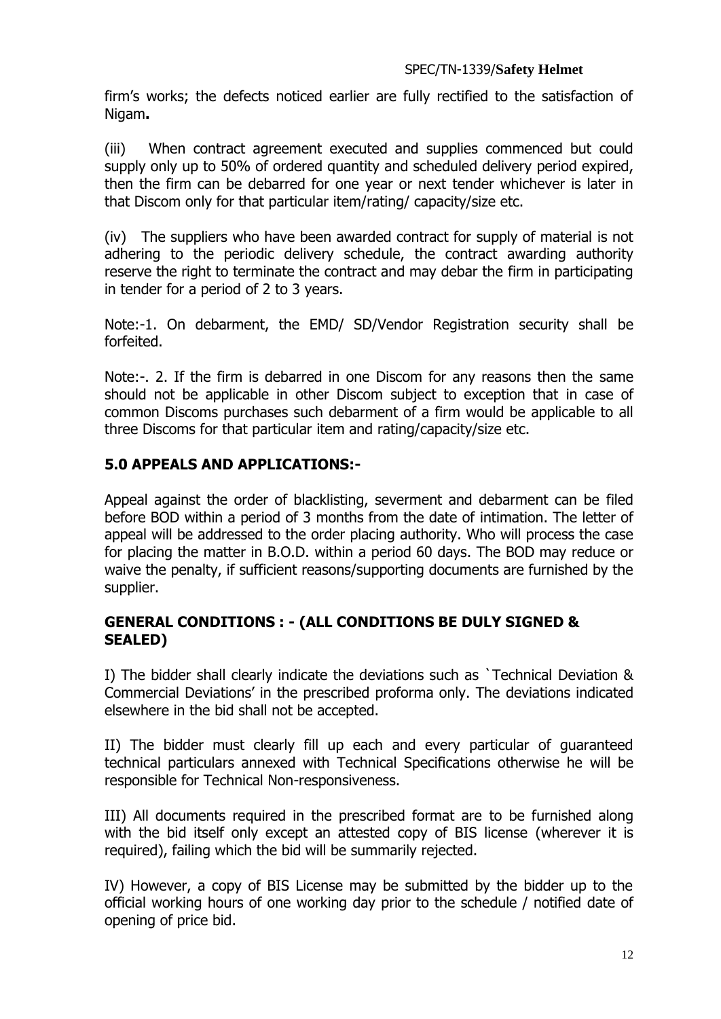firm's works; the defects noticed earlier are fully rectified to the satisfaction of Nigam**.**

(iii) When contract agreement executed and supplies commenced but could supply only up to 50% of ordered quantity and scheduled delivery period expired, then the firm can be debarred for one year or next tender whichever is later in that Discom only for that particular item/rating/ capacity/size etc.

(iv) The suppliers who have been awarded contract for supply of material is not adhering to the periodic delivery schedule, the contract awarding authority reserve the right to terminate the contract and may debar the firm in participating in tender for a period of 2 to 3 years.

Note:-1. On debarment, the EMD/ SD/Vendor Registration security shall be forfeited.

Note:-. 2. If the firm is debarred in one Discom for any reasons then the same should not be applicable in other Discom subject to exception that in case of common Discoms purchases such debarment of a firm would be applicable to all three Discoms for that particular item and rating/capacity/size etc.

## **5.0 APPEALS AND APPLICATIONS:-**

Appeal against the order of blacklisting, severment and debarment can be filed before BOD within a period of 3 months from the date of intimation. The letter of appeal will be addressed to the order placing authority. Who will process the case for placing the matter in B.O.D. within a period 60 days. The BOD may reduce or waive the penalty, if sufficient reasons/supporting documents are furnished by the supplier.

## **GENERAL CONDITIONS : - (ALL CONDITIONS BE DULY SIGNED & SEALED)**

I) The bidder shall clearly indicate the deviations such as `Technical Deviation & Commercial Deviations' in the prescribed proforma only. The deviations indicated elsewhere in the bid shall not be accepted.

II) The bidder must clearly fill up each and every particular of guaranteed technical particulars annexed with Technical Specifications otherwise he will be responsible for Technical Non-responsiveness.

III) All documents required in the prescribed format are to be furnished along with the bid itself only except an attested copy of BIS license (wherever it is required), failing which the bid will be summarily rejected.

IV) However, a copy of BIS License may be submitted by the bidder up to the official working hours of one working day prior to the schedule / notified date of opening of price bid.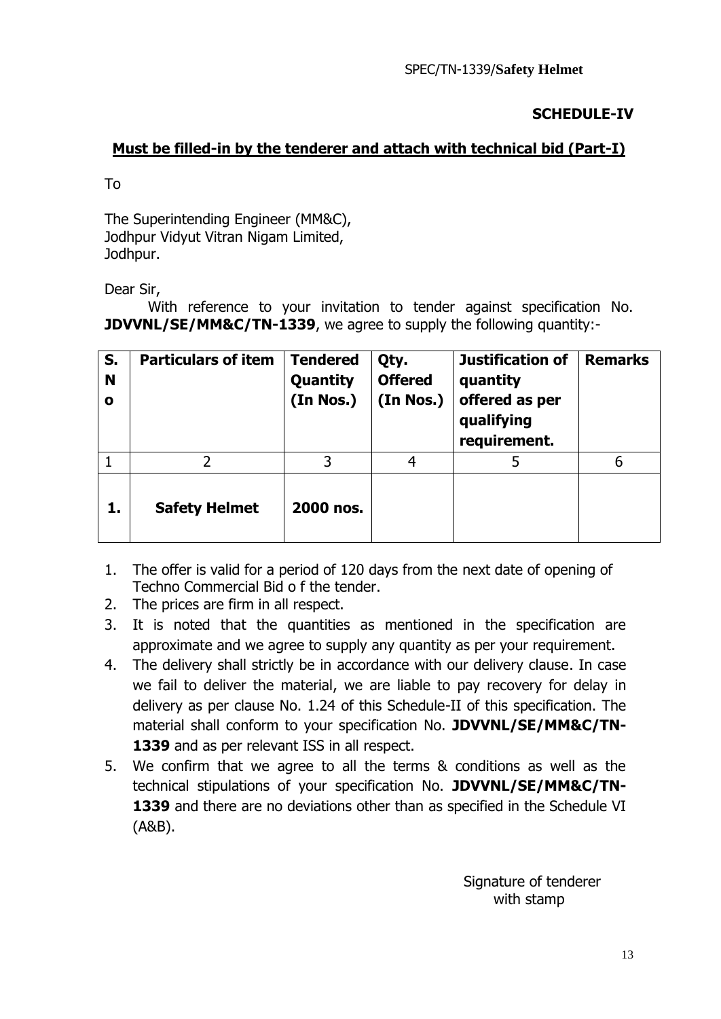## **SCHEDULE-IV**

## **Must be filled-in by the tenderer and attach with technical bid (Part-I)**

To

The Superintending Engineer (MM&C), Jodhpur Vidyut Vitran Nigam Limited, Jodhpur.

Dear Sir,

With reference to your invitation to tender against specification No. **JDVVNL/SE/MM&C/TN-1339**, we agree to supply the following quantity:-

| S.<br>N<br>$\mathbf o$ | <b>Particulars of item</b> | <b>Tendered</b><br>Quantity<br>(In Nos.) | Qty.<br><b>Offered</b><br>(In Nos.) | <b>Justification of</b><br>quantity<br>offered as per<br>qualifying<br>requirement. | <b>Remarks</b> |
|------------------------|----------------------------|------------------------------------------|-------------------------------------|-------------------------------------------------------------------------------------|----------------|
|                        | フ                          | 3                                        | 4                                   | 5                                                                                   | 6              |
| 1.                     | <b>Safety Helmet</b>       | 2000 nos.                                |                                     |                                                                                     |                |

- 1. The offer is valid for a period of 120 days from the next date of opening of Techno Commercial Bid o f the tender.
- 2. The prices are firm in all respect.
- 3. It is noted that the quantities as mentioned in the specification are approximate and we agree to supply any quantity as per your requirement.
- 4. The delivery shall strictly be in accordance with our delivery clause. In case we fail to deliver the material, we are liable to pay recovery for delay in delivery as per clause No. 1.24 of this Schedule-II of this specification. The material shall conform to your specification No. **JDVVNL/SE/MM&C/TN-**1339 and as per relevant ISS in all respect.
- 5. We confirm that we agree to all the terms & conditions as well as the technical stipulations of your specification No. **JDVVNL/SE/MM&C/TN-1339** and there are no deviations other than as specified in the Schedule VI (A&B).

 Signature of tenderer with stamp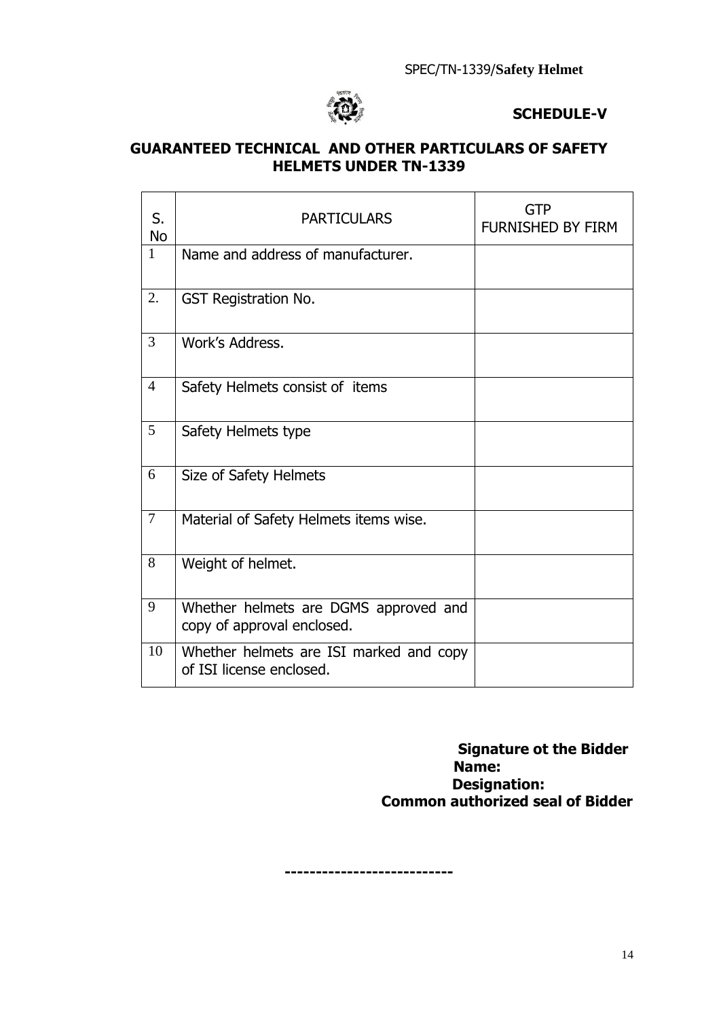

## **SCHEDULE-V**

## **GUARANTEED TECHNICAL AND OTHER PARTICULARS OF SAFETY HELMETS UNDER TN-1339**

| S.<br><b>No</b> | <b>PARTICULARS</b>                                                  | <b>GTP</b><br>FURNISHED BY FIRM |
|-----------------|---------------------------------------------------------------------|---------------------------------|
| 1               | Name and address of manufacturer.                                   |                                 |
| 2.              | <b>GST Registration No.</b>                                         |                                 |
| 3               | Work's Address.                                                     |                                 |
| $\overline{4}$  | Safety Helmets consist of items                                     |                                 |
| 5               | Safety Helmets type                                                 |                                 |
| 6               | Size of Safety Helmets                                              |                                 |
| 7               | Material of Safety Helmets items wise.                              |                                 |
| 8               | Weight of helmet.                                                   |                                 |
| 9               | Whether helmets are DGMS approved and<br>copy of approval enclosed. |                                 |
| 10              | Whether helmets are ISI marked and copy<br>of ISI license enclosed. |                                 |

## **Signature ot the Bidder Name: Designation: Common authorized seal of Bidder**

**---------------------------**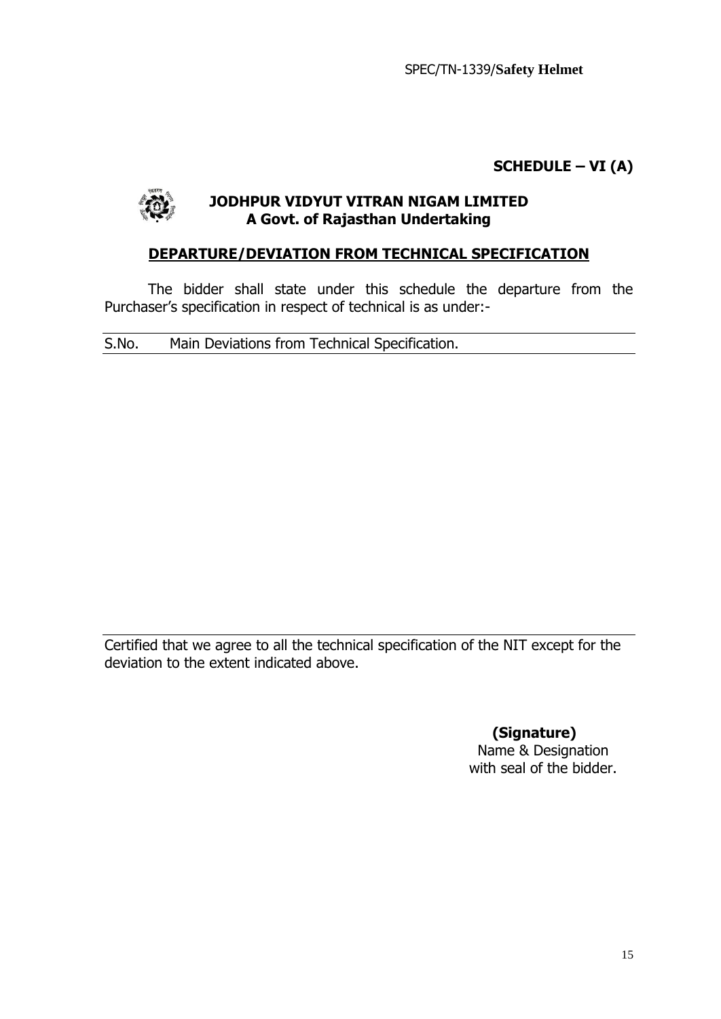**SCHEDULE – VI (A)**



## **JODHPUR VIDYUT VITRAN NIGAM LIMITED A Govt. of Rajasthan Undertaking**

## **DEPARTURE/DEVIATION FROM TECHNICAL SPECIFICATION**

The bidder shall state under this schedule the departure from the Purchaser's specification in respect of technical is as under:-

S.No. Main Deviations from Technical Specification.

Certified that we agree to all the technical specification of the NIT except for the deviation to the extent indicated above.

**(Signature)**

Name & Designation with seal of the bidder.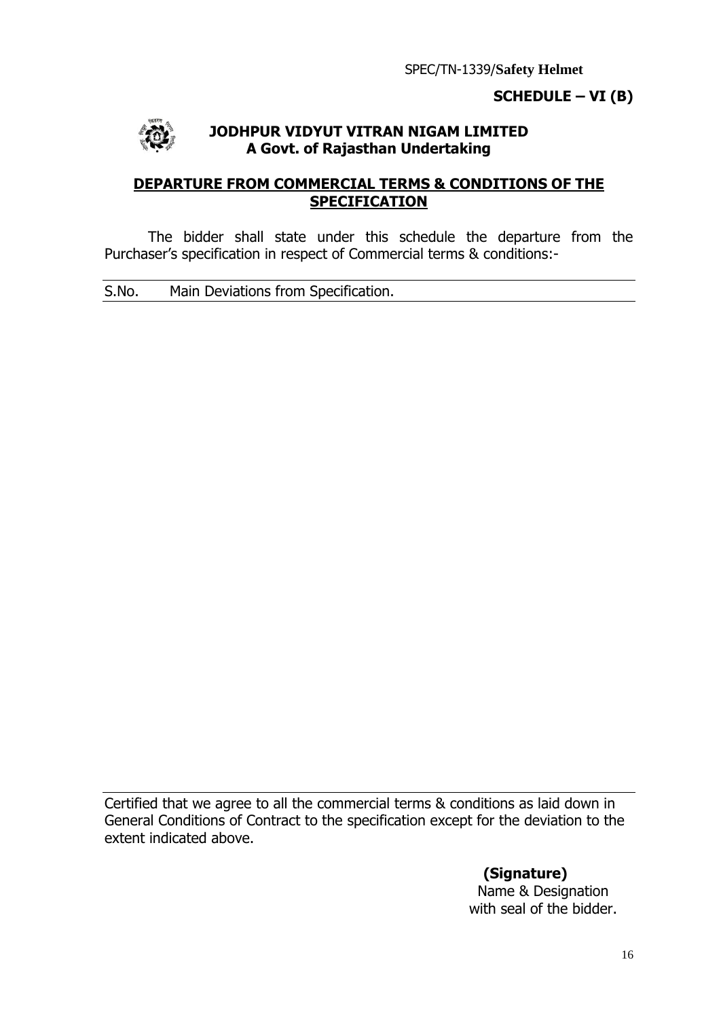## **SCHEDULE – VI (B)**



## **JODHPUR VIDYUT VITRAN NIGAM LIMITED A Govt. of Rajasthan Undertaking**

## **DEPARTURE FROM COMMERCIAL TERMS & CONDITIONS OF THE SPECIFICATION**

The bidder shall state under this schedule the departure from the Purchaser's specification in respect of Commercial terms & conditions:-

S.No. Main Deviations from Specification.

Certified that we agree to all the commercial terms & conditions as laid down in General Conditions of Contract to the specification except for the deviation to the extent indicated above.

> **(Signature)** Name & Designation with seal of the bidder.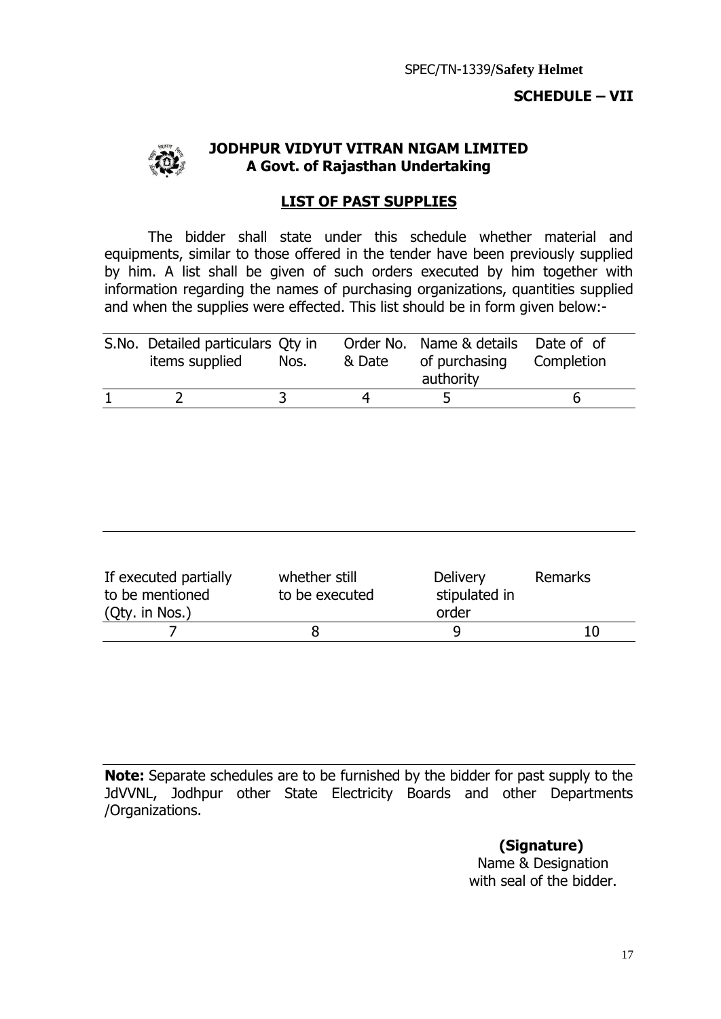## **SCHEDULE – VII**



#### **JODHPUR VIDYUT VITRAN NIGAM LIMITED A Govt. of Rajasthan Undertaking**

## **LIST OF PAST SUPPLIES**

The bidder shall state under this schedule whether material and equipments, similar to those offered in the tender have been previously supplied by him. A list shall be given of such orders executed by him together with information regarding the names of purchasing organizations, quantities supplied and when the supplies were effected. This list should be in form given below:-

| S.No. Detailed particulars Qty in<br>items supplied | Nos. | & Date | Order No. Name & details Date of of<br>of purchasing<br>authority | Completion |
|-----------------------------------------------------|------|--------|-------------------------------------------------------------------|------------|
|                                                     |      |        |                                                                   |            |

| If executed partially<br>to be mentioned<br>(Qty. in Nos.) | whether still<br>to be executed |       | Remarks |
|------------------------------------------------------------|---------------------------------|-------|---------|
|                                                            |                                 | order |         |
|                                                            |                                 |       | 10      |

**Note:** Separate schedules are to be furnished by the bidder for past supply to the JdVVNL, Jodhpur other State Electricity Boards and other Departments /Organizations.

**(Signature)**

Name & Designation with seal of the bidder.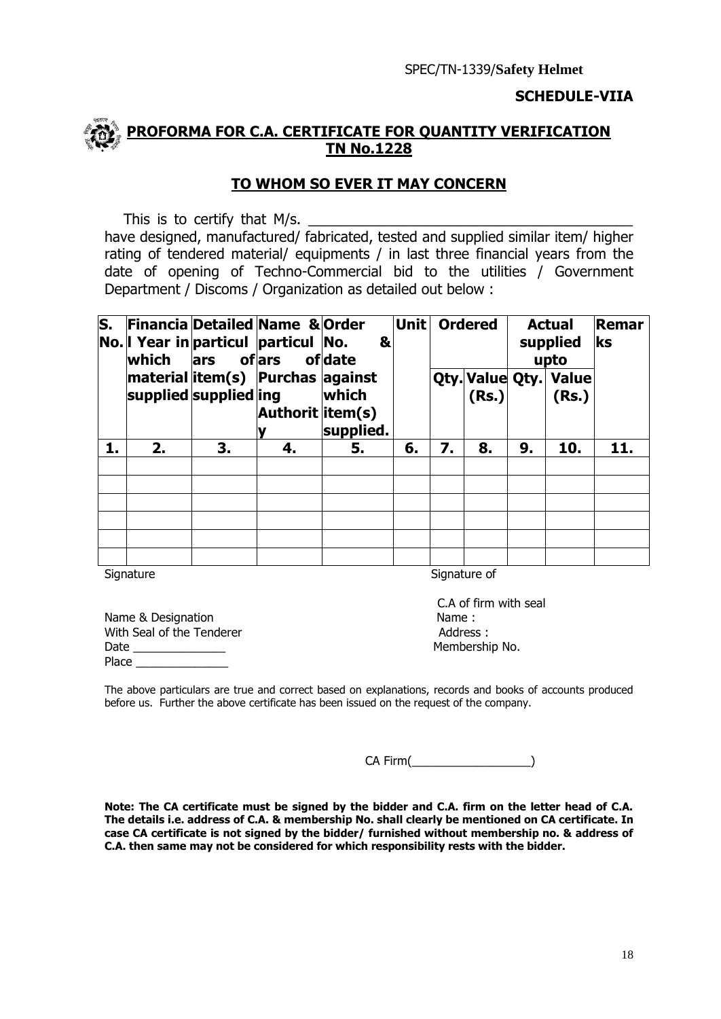#### **SCHEDULE-VIIA**

## **PROFORMA FOR C.A. CERTIFICATE FOR QUANTITY VERIFICATION TN No.1228**

## **TO WHOM SO EVER IT MAY CONCERN**

This is to certify that M/s.

have designed, manufactured/ fabricated, tested and supplied similar item/ higher rating of tendered material/ equipments / in last three financial years from the date of opening of Techno-Commercial bid to the utilities / Government Department / Discoms / Organization as detailed out below :

| $\overline{\mathsf{s}}$ . | lwhich | lars of ars           | <b>Financia Detailed Name &amp; Order</b><br>No. I Year in particul particul No. | &<br>ofdate        | Unit |    | <b>Ordered</b> |    | <b>Actual</b><br>supplied<br>upto | Remar<br>ks |
|---------------------------|--------|-----------------------|----------------------------------------------------------------------------------|--------------------|------|----|----------------|----|-----------------------------------|-------------|
|                           |        | supplied supplied ing | material item(s) Purchas against<br>Authorit litem(s)                            | which<br>supplied. |      |    | (Rs.)          |    | Qty. Value Qty. Value<br>(Rs.)    |             |
| 1.                        | 2.     | 3.                    | 4.                                                                               | 5.                 | 6.   | 7. | 8.             | 9. | 10.                               | 11.         |
|                           |        |                       |                                                                                  |                    |      |    |                |    |                                   |             |
|                           |        |                       |                                                                                  |                    |      |    |                |    |                                   |             |
|                           |        |                       |                                                                                  |                    |      |    |                |    |                                   |             |
|                           |        |                       |                                                                                  |                    |      |    |                |    |                                   |             |
|                           |        |                       |                                                                                  |                    |      |    |                |    |                                   |             |

Signature Signature Signature of Signature of Signature of Signature of Signature of Signature of Signature of Signature of Signature of Signature of Signature of Signature of Signature of Signature of Signature of Signatu

Name & Designation Name : With Seal of the Tenderer and the Seal of the Tenderer Address : Date **Date Numbership No.** 2014 Place

C.A of firm with seal

The above particulars are true and correct based on explanations, records and books of accounts produced before us. Further the above certificate has been issued on the request of the company.

CA Firm(

**Note: The CA certificate must be signed by the bidder and C.A. firm on the letter head of C.A. The details i.e. address of C.A. & membership No. shall clearly be mentioned on CA certificate. In case CA certificate is not signed by the bidder/ furnished without membership no. & address of C.A. then same may not be considered for which responsibility rests with the bidder.**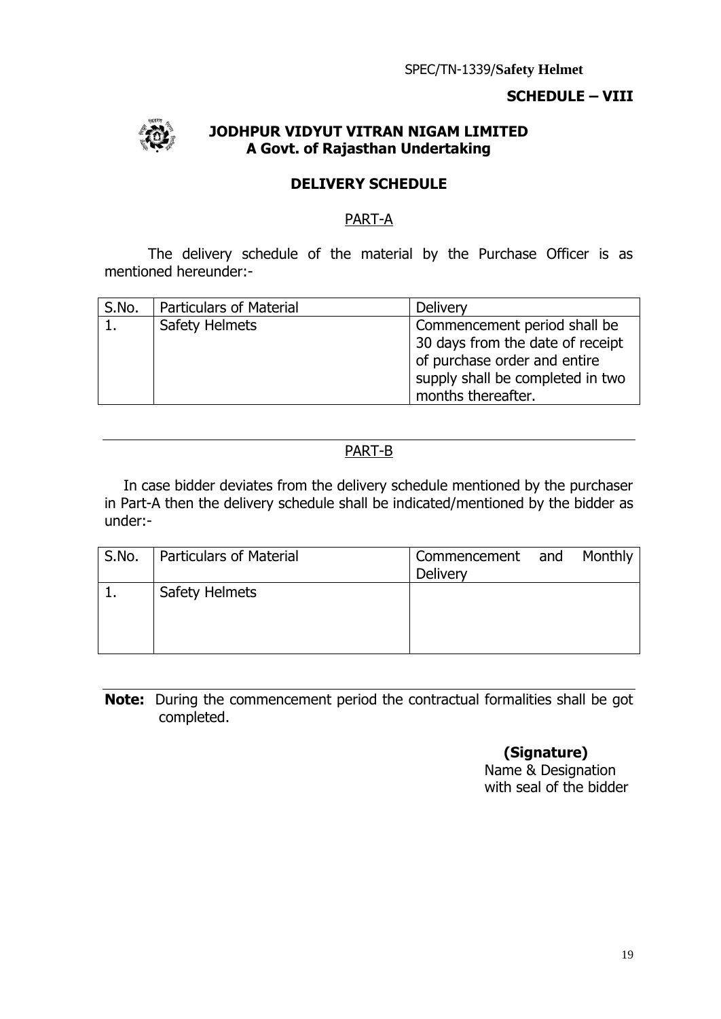## **SCHEDULE – VIII**



## **JODHPUR VIDYUT VITRAN NIGAM LIMITED A Govt. of Rajasthan Undertaking**

## **DELIVERY SCHEDULE**

## PART-A

The delivery schedule of the material by the Purchase Officer is as mentioned hereunder:-

| S.No. | <b>Particulars of Material</b> | Delivery                         |
|-------|--------------------------------|----------------------------------|
|       | Safety Helmets                 | Commencement period shall be     |
|       |                                | 30 days from the date of receipt |
|       |                                | of purchase order and entire     |
|       |                                | supply shall be completed in two |
|       |                                | months thereafter.               |

## PART-B

In case bidder deviates from the delivery schedule mentioned by the purchaser in Part-A then the delivery schedule shall be indicated/mentioned by the bidder as under:-

| S.No. | <b>Particulars of Material</b> | Commencement and Monthly<br>Delivery |  |
|-------|--------------------------------|--------------------------------------|--|
|       | Safety Helmets                 |                                      |  |

**Note:** During the commencement period the contractual formalities shall be got completed.

## **(Signature)**

 Name & Designation with seal of the bidder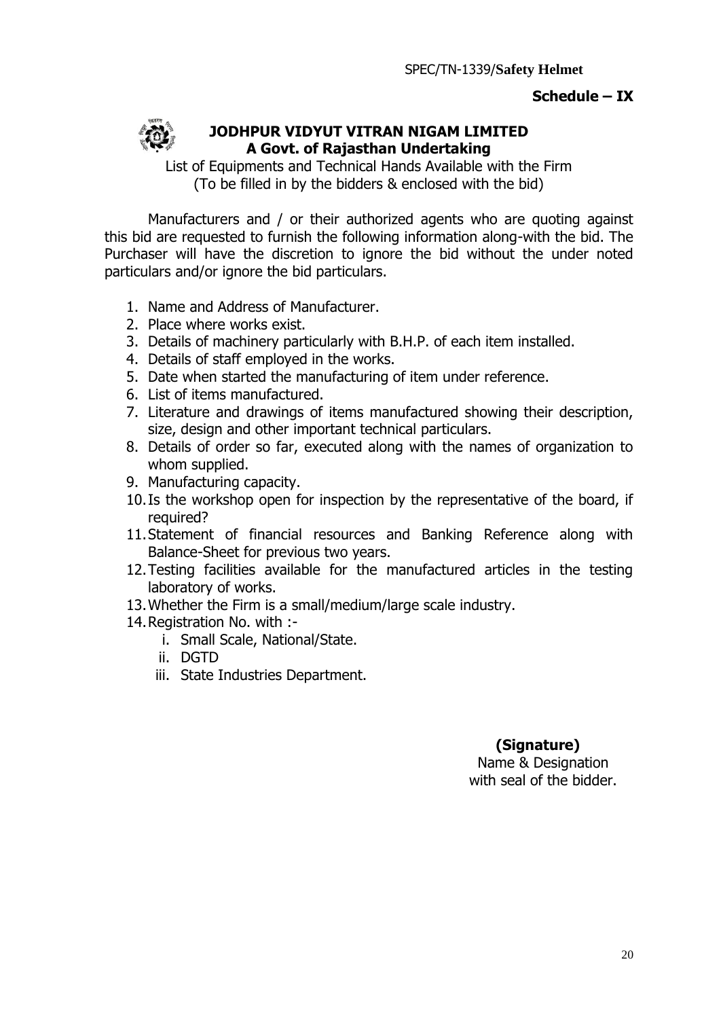## **Schedule – IX**



## **JODHPUR VIDYUT VITRAN NIGAM LIMITED A Govt. of Rajasthan Undertaking**

List of Equipments and Technical Hands Available with the Firm (To be filled in by the bidders & enclosed with the bid)

Manufacturers and / or their authorized agents who are quoting against this bid are requested to furnish the following information along-with the bid. The Purchaser will have the discretion to ignore the bid without the under noted particulars and/or ignore the bid particulars.

- 1. Name and Address of Manufacturer.
- 2. Place where works exist.
- 3. Details of machinery particularly with B.H.P. of each item installed.
- 4. Details of staff employed in the works.
- 5. Date when started the manufacturing of item under reference.
- 6. List of items manufactured.
- 7. Literature and drawings of items manufactured showing their description, size, design and other important technical particulars.
- 8. Details of order so far, executed along with the names of organization to whom supplied.
- 9. Manufacturing capacity.
- 10.Is the workshop open for inspection by the representative of the board, if required?
- 11.Statement of financial resources and Banking Reference along with Balance-Sheet for previous two years.
- 12.Testing facilities available for the manufactured articles in the testing laboratory of works.
- 13.Whether the Firm is a small/medium/large scale industry.
- 14.Registration No. with :
	- i. Small Scale, National/State.
	- ii. DGTD
	- iii. State Industries Department.

## **(Signature)**

Name & Designation with seal of the bidder.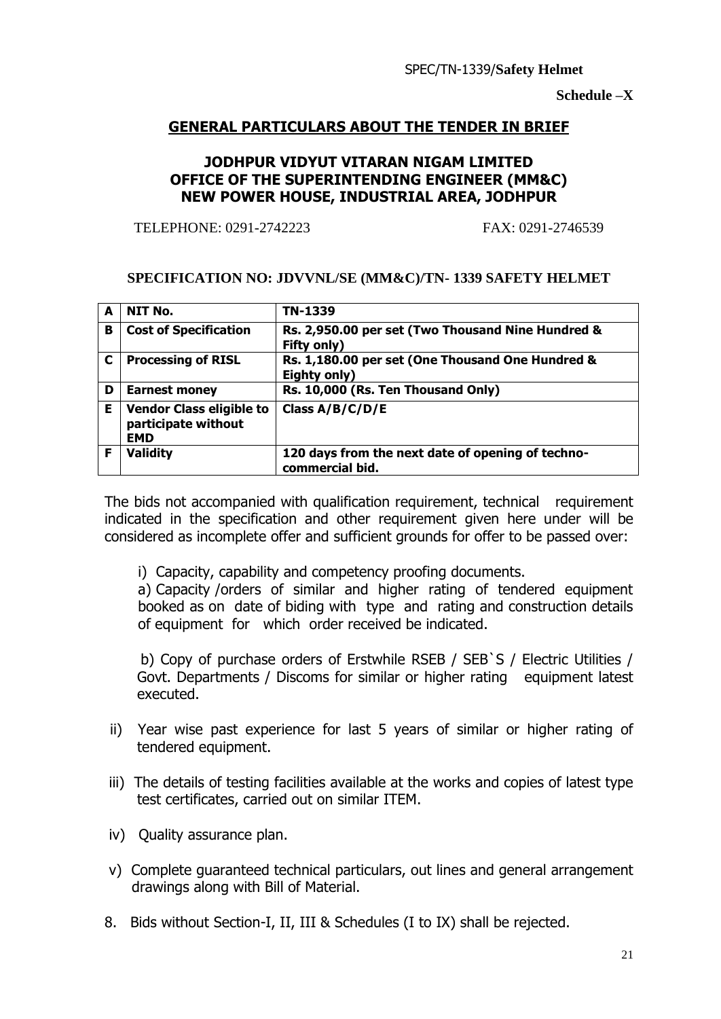**Schedule –X**

## **GENERAL PARTICULARS ABOUT THE TENDER IN BRIEF**

## **JODHPUR VIDYUT VITARAN NIGAM LIMITED OFFICE OF THE SUPERINTENDING ENGINEER (MM&C) NEW POWER HOUSE, INDUSTRIAL AREA, JODHPUR**

TELEPHONE: 0291-2742223 FAX: 0291-2746539

#### **SPECIFICATION NO: JDVVNL/SE (MM&C)/TN- 1339 SAFETY HELMET**

| A | NIT No.                                                              | TN-1339                                                              |
|---|----------------------------------------------------------------------|----------------------------------------------------------------------|
| в | <b>Cost of Specification</b>                                         | Rs. 2,950.00 per set (Two Thousand Nine Hundred &<br>Fifty only)     |
| C | <b>Processing of RISL</b>                                            | Rs. 1,180.00 per set (One Thousand One Hundred &<br>Eighty only)     |
| D | <b>Earnest money</b>                                                 | Rs. 10,000 (Rs. Ten Thousand Only)                                   |
| Е | <b>Vendor Class eligible to</b><br>participate without<br><b>EMD</b> | Class A/B/C/D/E                                                      |
| F | <b>Validity</b>                                                      | 120 days from the next date of opening of techno-<br>commercial bid. |

The bids not accompanied with qualification requirement, technical requirement indicated in the specification and other requirement given here under will be considered as incomplete offer and sufficient grounds for offer to be passed over:

i) Capacity, capability and competency proofing documents.

a) Capacity /orders of similar and higher rating of tendered equipment booked as on date of biding with type and rating and construction details of equipment for which order received be indicated.

 b) Copy of purchase orders of Erstwhile RSEB / SEB`S / Electric Utilities / Govt. Departments / Discoms for similar or higher rating equipment latest executed.

- ii) Year wise past experience for last 5 years of similar or higher rating of tendered equipment.
- iii) The details of testing facilities available at the works and copies of latest type test certificates, carried out on similar ITEM.
- iv) Quality assurance plan.
- v) Complete guaranteed technical particulars, out lines and general arrangement drawings along with Bill of Material.
- 8. Bids without Section-I, II, III & Schedules (I to IX) shall be rejected.